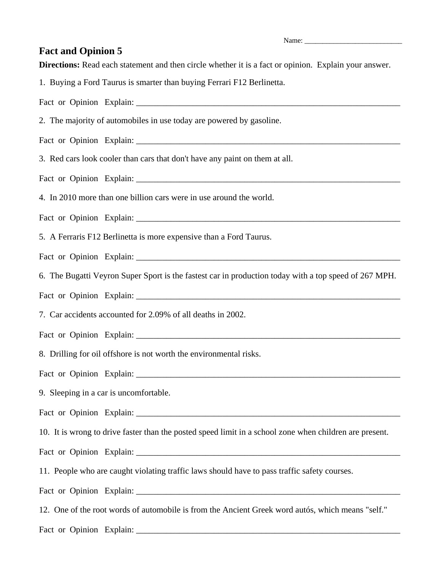Name:

## **Fact and Opinion 5**

**Directions:** Read each statement and then circle whether it is a fact or opinion. Explain your answer.

1. Buying a Ford Taurus is smarter than buying Ferrari F12 Berlinetta.

Fact or Opinion Explain:

2. The majority of automobiles in use today are powered by gasoline.

Fact or Opinion Explain: \_\_\_\_\_\_\_\_\_\_\_\_\_\_\_\_\_\_\_\_\_\_\_\_\_\_\_\_\_\_\_\_\_\_\_\_\_\_\_\_\_\_\_\_\_\_\_\_\_\_\_\_\_\_\_\_\_\_\_\_\_

3. Red cars look cooler than cars that don't have any paint on them at all.

Fact or Opinion Explain: \_\_\_\_\_\_\_\_\_\_\_\_\_\_\_\_\_\_\_\_\_\_\_\_\_\_\_\_\_\_\_\_\_\_\_\_\_\_\_\_\_\_\_\_\_\_\_\_\_\_\_\_\_\_\_\_\_\_\_\_\_

4. In 2010 more than one billion cars were in use around the world.

Fact or Opinion Explain: \_\_\_\_\_\_\_\_\_\_\_\_\_\_\_\_\_\_\_\_\_\_\_\_\_\_\_\_\_\_\_\_\_\_\_\_\_\_\_\_\_\_\_\_\_\_\_\_\_\_\_\_\_\_\_\_\_\_\_\_\_

5. A Ferraris F12 Berlinetta is more expensive than a Ford Taurus.

Fact or Opinion Explain:

6. The Bugatti Veyron Super Sport is the fastest car in production today with a top speed of 267 MPH.

Fact or Opinion Explain:

7. Car accidents accounted for 2.09% of all deaths in 2002.

Fact or Opinion Explain: \_\_\_\_\_\_\_\_\_\_\_\_\_\_\_\_\_\_\_\_\_\_\_\_\_\_\_\_\_\_\_\_\_\_\_\_\_\_\_\_\_\_\_\_\_\_\_\_\_\_\_\_\_\_\_\_\_\_\_\_\_

8. Drilling for oil offshore is not worth the environmental risks.

Fact or Opinion Explain: \_\_\_\_\_\_\_\_\_\_\_\_\_\_\_\_\_\_\_\_\_\_\_\_\_\_\_\_\_\_\_\_\_\_\_\_\_\_\_\_\_\_\_\_\_\_\_\_\_\_\_\_\_\_\_\_\_\_\_\_\_

9. Sleeping in a car is uncomfortable.

Fact or Opinion Explain: \_\_\_\_\_\_\_\_\_\_\_\_\_\_\_\_\_\_\_\_\_\_\_\_\_\_\_\_\_\_\_\_\_\_\_\_\_\_\_\_\_\_\_\_\_\_\_\_\_\_\_\_\_\_\_\_\_\_\_\_\_

10. It is wrong to drive faster than the posted speed limit in a school zone when children are present.

Fact or Opinion Explain: \_\_\_\_\_\_\_\_\_\_\_\_\_\_\_\_\_\_\_\_\_\_\_\_\_\_\_\_\_\_\_\_\_\_\_\_\_\_\_\_\_\_\_\_\_\_\_\_\_\_\_\_\_\_\_\_\_\_\_\_\_

11. People who are caught violating traffic laws should have to pass traffic safety courses.

Fact or Opinion Explain:

12. One of the root words of automobile is from the Ancient Greek word autós, which means "self."

Fact or Opinion Explain: